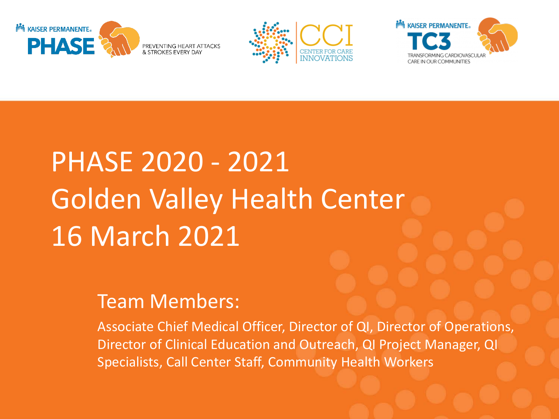





## PHASE 2020 - 2021 Golden Valley Health Center 16 March 2021

## Team Members:

Associate Chief Medical Officer, Director of QI, Director of Operations, Director of Clinical Education and Outreach, QI Project Manager, QI Specialists, Call Center Staff, Community Health Workers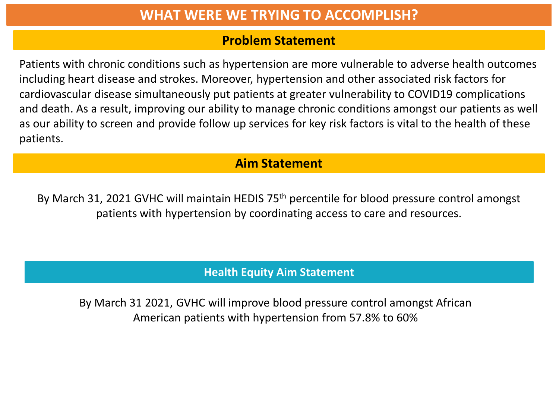## **WHAT WERE WE TRYING TO ACCOMPLISH?**

#### **Problem Statement**

Patients with chronic conditions such as hypertension are more vulnerable to adverse health outcomes including heart disease and strokes. Moreover, hypertension and other associated risk factors for cardiovascular disease simultaneously put patients at greater vulnerability to COVID19 complications and death. As a result, improving our ability to manage chronic conditions amongst our patients as well as our ability to screen and provide follow up services for key risk factors is vital to the health of these patients.

## **Aim Statement**

By March 31, 2021 GVHC will maintain HEDIS 75<sup>th</sup> percentile for blood pressure control amongst patients with hypertension by coordinating access to care and resources.

#### **Health Equity Aim Statement**

By March 31 2021, GVHC will improve blood pressure control amongst African American patients with hypertension from 57.8% to 60%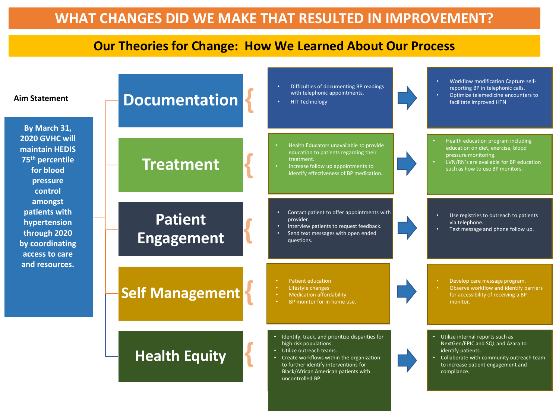#### **Our Theories for Change: How We Learned About Our Process**

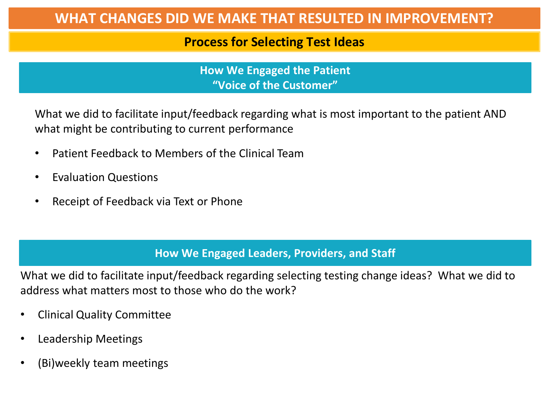## **WHAT CHANGES DID WE MAKE THAT RESULTED IN IMPROVEMENT?**

#### **Process for Selecting Test Ideas**

**How We Engaged the Patient "Voice of the Customer"**

What we did to facilitate input/feedback regarding what is most important to the patient AND what might be contributing to current performance

- Patient Feedback to Members of the Clinical Team
- Evaluation Questions
- Receipt of Feedback via Text or Phone

#### **How We Engaged Leaders, Providers, and Staff**

What we did to facilitate input/feedback regarding selecting testing change ideas? What we did to address what matters most to those who do the work?

- Clinical Quality Committee
- Leadership Meetings
- (Bi)weekly team meetings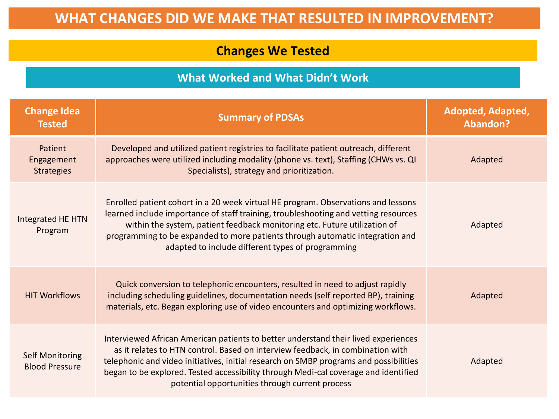## **WHAT CHANGES DID WE MAKE THAT RESULTED IN IMPROVEMENT?**

## **Changes We Tested**

#### **What Worked and What Didn't Work**

| <b>Change Idea</b><br><b>Tested</b>             | <b>Summary of PDSAs</b>                                                                                                                                                                                                                                                                                                                                                                                 | <b>Adopted, Adapted,</b><br><b>Abandon?</b> |
|-------------------------------------------------|---------------------------------------------------------------------------------------------------------------------------------------------------------------------------------------------------------------------------------------------------------------------------------------------------------------------------------------------------------------------------------------------------------|---------------------------------------------|
| Patient<br>Engagement<br><b>Strategies</b>      | Developed and utilized patient registries to facilitate patient outreach, different<br>approaches were utilized including modality (phone vs. text), Staffing (CHWs vs. QI<br>Specialists), strategy and prioritization.                                                                                                                                                                                | Adapted                                     |
| Integrated HE HTN<br>Program                    | Enrolled patient cohort in a 20 week virtual HE program. Observations and lessons<br>learned include importance of staff training, troubleshooting and vetting resources<br>within the system, patient feedback monitoring etc. Future utilization of<br>programming to be expanded to more patients through automatic integration and<br>adapted to include different types of programming             | Adapted                                     |
| <b>HIT Workflows</b>                            | Quick conversion to telephonic encounters, resulted in need to adjust rapidly<br>including scheduling guidelines, documentation needs (self reported BP), training<br>materials, etc. Began exploring use of video encounters and optimizing workflows.                                                                                                                                                 | Adapted                                     |
| <b>Self Monitoring</b><br><b>Blood Pressure</b> | Interviewed African American patients to better understand their lived experiences<br>as it relates to HTN control. Based on interview feedback, in combination with<br>telephonic and video initiatives, initial research on SMBP programs and possibilities<br>began to be explored. Tested accessibility through Medi-cal coverage and identified<br>potential opportunities through current process | Adapted                                     |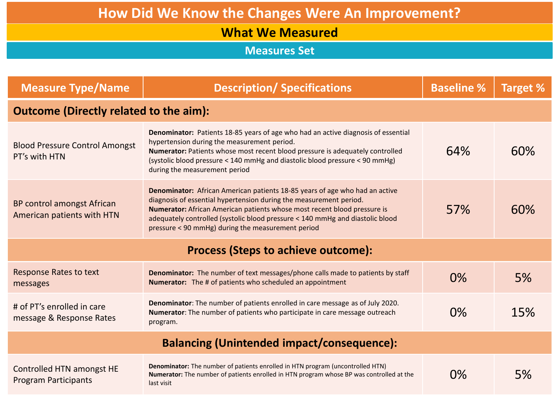#### **What We Measured**

**Measures Set**

| <b>Measure Type/Name</b>                                 | <b>Description/ Specifications</b>                                                                                                                                                                                                                                                                                                                                  | <b>Baseline %</b> | <b>Target %</b> |  |  |  |
|----------------------------------------------------------|---------------------------------------------------------------------------------------------------------------------------------------------------------------------------------------------------------------------------------------------------------------------------------------------------------------------------------------------------------------------|-------------------|-----------------|--|--|--|
| <b>Outcome (Directly related to the aim):</b>            |                                                                                                                                                                                                                                                                                                                                                                     |                   |                 |  |  |  |
| <b>Blood Pressure Control Amongst</b><br>PT's with HTN   | Denominator: Patients 18-85 years of age who had an active diagnosis of essential<br>hypertension during the measurement period.<br>Numerator: Patients whose most recent blood pressure is adequately controlled<br>(systolic blood pressure < 140 mmHg and diastolic blood pressure < 90 mmHg)<br>during the measurement period                                   | 64%               | 60%             |  |  |  |
| BP control amongst African<br>American patients with HTN | Denominator: African American patients 18-85 years of age who had an active<br>diagnosis of essential hypertension during the measurement period.<br>Numerator: African American patients whose most recent blood pressure is<br>adequately controlled (systolic blood pressure < 140 mmHg and diastolic blood<br>pressure < 90 mmHg) during the measurement period | 57%               | 60%             |  |  |  |
| <b>Process (Steps to achieve outcome):</b>               |                                                                                                                                                                                                                                                                                                                                                                     |                   |                 |  |  |  |
| <b>Response Rates to text</b><br>messages                | Denominator: The number of text messages/phone calls made to patients by staff<br><b>Numerator:</b> The # of patients who scheduled an appointment                                                                                                                                                                                                                  | $0\%$             | 5%              |  |  |  |
| # of PT's enrolled in care<br>message & Response Rates   | Denominator: The number of patients enrolled in care message as of July 2020.<br><b>Numerator:</b> The number of patients who participate in care message outreach<br>program.                                                                                                                                                                                      | 0%                | 15%             |  |  |  |
| <b>Balancing (Unintended impact/consequence):</b>        |                                                                                                                                                                                                                                                                                                                                                                     |                   |                 |  |  |  |
| Controlled HTN amongst HE<br><b>Program Participants</b> | Denominator: The number of patients enrolled in HTN program (uncontrolled HTN)<br>Numerator: The number of patients enrolled in HTN program whose BP was controlled at the<br>last visit                                                                                                                                                                            | $0\%$             | 5%              |  |  |  |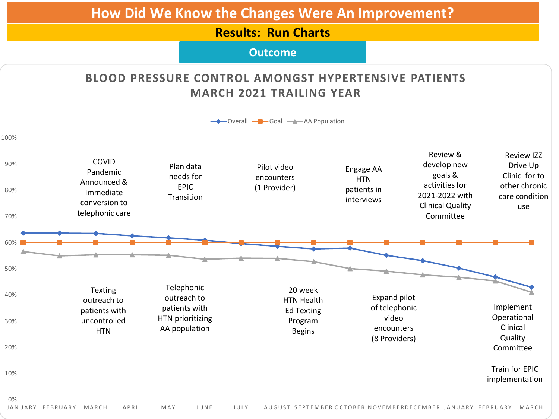#### **Results: Run Charts**

#### **Outcome**

#### **BLOOD PRESSURE CONTROL AMONGST HYPERTENSIVE PATIENTS MARCH 2021 TRAILING YEAR**

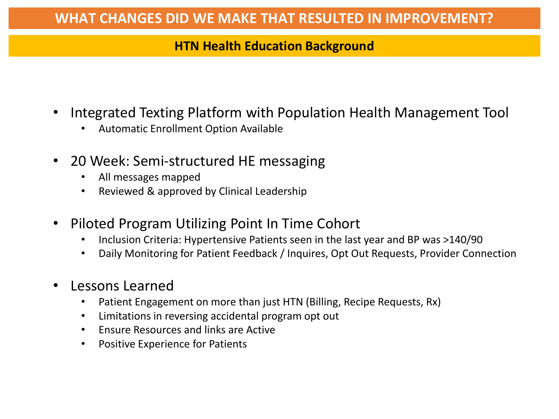## **HTN Health Education Background**

- Integrated Texting Platform with Population Health Management Tool
	- Automatic Enrollment Option Available
- 20 Week: Semi-structured HE messaging
	- All messages mapped
	- Reviewed & approved by Clinical Leadership
- Piloted Program Utilizing Point In Time Cohort
	- Inclusion Criteria: Hypertensive Patients seen in the last year and BP was >140/90
	- Daily Monitoring for Patient Feedback / Inquires, Opt Out Requests, Provider Connection
- Lessons Learned
	- Patient Engagement on more than just HTN (Billing, Recipe Requests, Rx)
	- Limitations in reversing accidental program opt out
	- Ensure Resources and links are Active
	- Positive Experience for Patients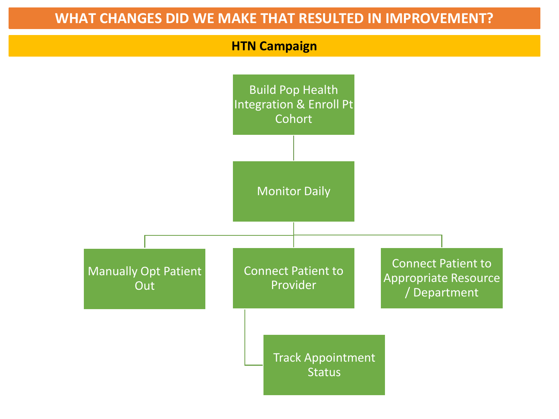#### **WHAT CHANGES DID WE MAKE THAT RESULTED IN IMPROVEMENT?**

#### **HTN Campaign**

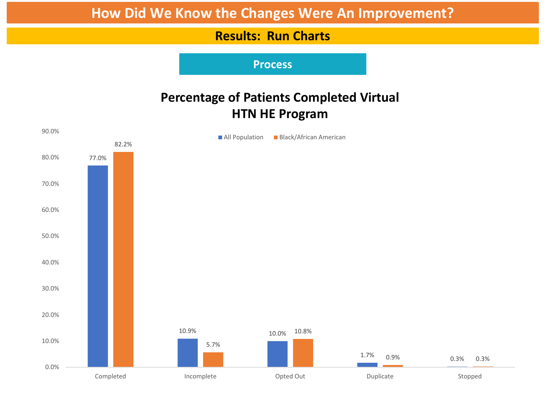#### **Results: Run Charts**

**Process**

## **Percentage of Patients Completed Virtual HTN HE Program**

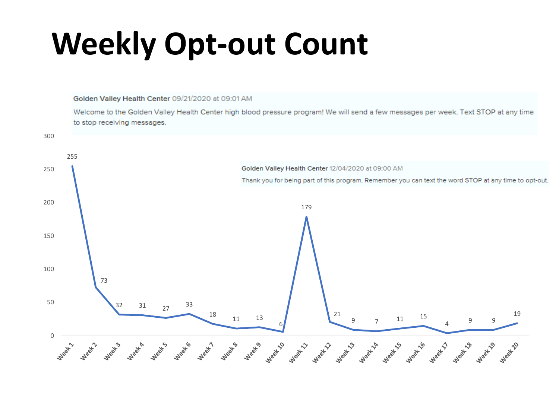# **Weekly Opt-out Count**

Golden Valley Health Center 09/21/2020 at 09:01 AM

Welcome to the Golden Valley Health Center high blood pressure program! We will send a few messages per week. Text STOP at any time to stop receiving messages.

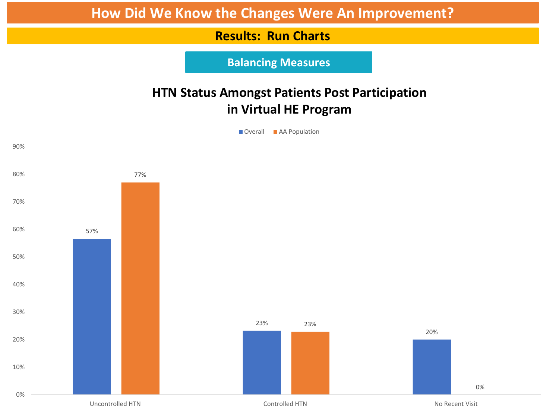#### **Results: Run Charts**

**Balancing Measures**

## **HTN Status Amongst Patients Post Participation in Virtual HE Program**

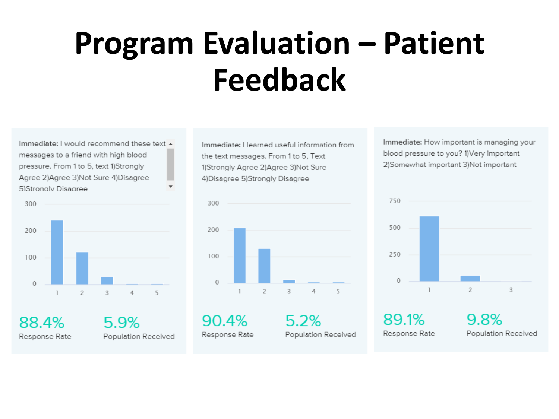# **Program Evaluation – Patient Feedback**

Immediate: I would recommend these text  $\triangle$ messages to a friend with high blood pressure. From 1 to 5, text 1)Strongly Agree 2) Agree 3) Not Sure 4) Disagree 5)Strongly Disagree



88.4% Response Rate 5.9% Population Received Immediate: I learned useful information from the text messages. From 1 to 5, Text 1)Strongly Agree 2)Agree 3)Not Sure 4) Disagree 5) Strongly Disagree



 $5.2%$ 

90.4% Response Rate

Population Received

Immediate: How important is managing your blood pressure to you? 1) Very important 2) Somewhat important 3) Not important

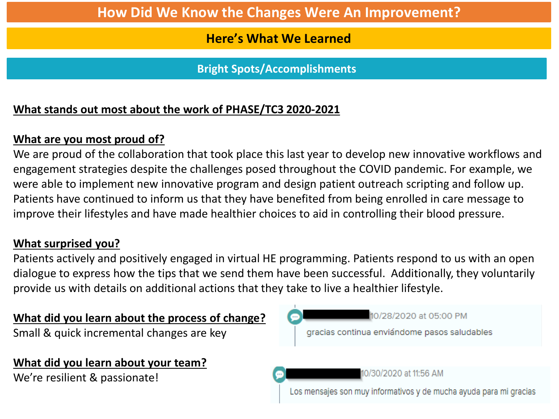#### **Here's What We Learned**

**Bright Spots/Accomplishments**

## **What stands out most about the work of PHASE/TC3 2020-2021**

### **What are you most proud of?**

We are proud of the collaboration that took place this last year to develop new innovative workflows and engagement strategies despite the challenges posed throughout the COVID pandemic. For example, we were able to implement new innovative program and design patient outreach scripting and follow up. Patients have continued to inform us that they have benefited from being enrolled in care message to improve their lifestyles and have made healthier choices to aid in controlling their blood pressure.

#### **What surprised you?**

Patients actively and positively engaged in virtual HE programming. Patients respond to us with an open dialogue to express how the tips that we send them have been successful. Additionally, they voluntarily provide us with details on additional actions that they take to live a healthier lifestyle.

#### **What did you learn about the process of change?**

Small & quick incremental changes are key

#### **What did you learn about your team?**

We're resilient & passionate!

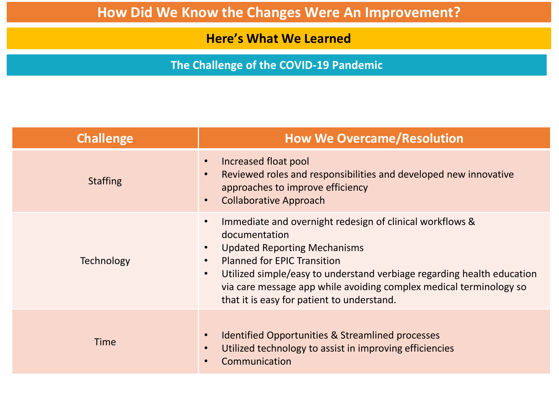**Here's What We Learned**

**The Challenge of the COVID-19 Pandemic**

| <b>Challenge</b>  | <b>How We Overcame/Resolution</b>                                                                                                                                                                                                                                                                                                                                                                        |
|-------------------|----------------------------------------------------------------------------------------------------------------------------------------------------------------------------------------------------------------------------------------------------------------------------------------------------------------------------------------------------------------------------------------------------------|
| <b>Staffing</b>   | Increased float pool<br>$\bullet$<br>Reviewed roles and responsibilities and developed new innovative<br>$\bullet$<br>approaches to improve efficiency<br><b>Collaborative Approach</b>                                                                                                                                                                                                                  |
| <b>Technology</b> | Immediate and overnight redesign of clinical workflows &<br>$\bullet$<br>documentation<br><b>Updated Reporting Mechanisms</b><br>$\bullet$<br><b>Planned for EPIC Transition</b><br>$\bullet$<br>Utilized simple/easy to understand verbiage regarding health education<br>$\bullet$<br>via care message app while avoiding complex medical terminology so<br>that it is easy for patient to understand. |
| Time              | <b>Identified Opportunities &amp; Streamlined processes</b><br>Utilized technology to assist in improving efficiencies<br>Communication                                                                                                                                                                                                                                                                  |